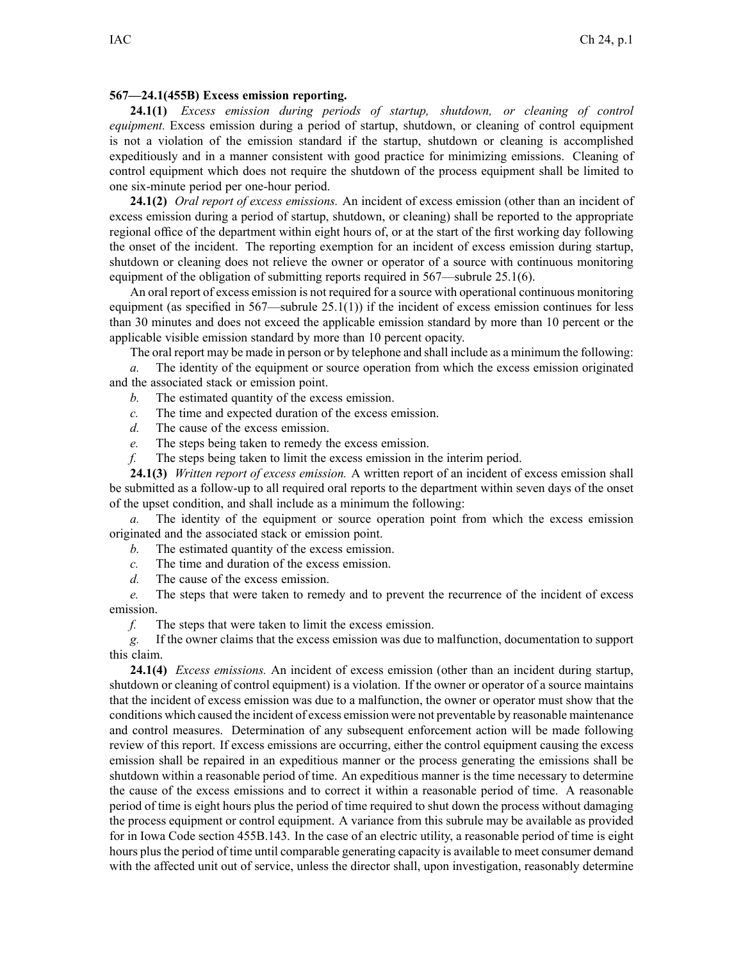## **567—24.1(455B) Excess emission reporting.**

**24.1(1)** *Excess emission during periods of startup, shutdown, or cleaning of control equipment.* Excess emission during <sup>a</sup> period of startup, shutdown, or cleaning of control equipment is not <sup>a</sup> violation of the emission standard if the startup, shutdown or cleaning is accomplished expeditiously and in <sup>a</sup> manner consistent with good practice for minimizing emissions. Cleaning of control equipment which does not require the shutdown of the process equipment shall be limited to one six-minute period per one-hour period.

**24.1(2)** *Oral repor<sup>t</sup> of excess emissions.* An incident of excess emission (other than an incident of excess emission during <sup>a</sup> period of startup, shutdown, or cleaning) shall be reported to the appropriate regional office of the department within eight hours of, or at the start of the first working day following the onset of the incident. The reporting exemption for an incident of excess emission during startup, shutdown or cleaning does not relieve the owner or operator of <sup>a</sup> source with continuous monitoring equipment of the obligation of submitting reports required in  $567$ —subrule  $25.1(6)$ .

An oral repor<sup>t</sup> of excess emission is not required for <sup>a</sup> source with operational continuous monitoring equipment (as specified in 567—subrule 25.1(1)) if the incident of excess emission continues for less than 30 minutes and does not exceed the applicable emission standard by more than 10 percen<sup>t</sup> or the applicable visible emission standard by more than 10 percen<sup>t</sup> opacity.

The oral repor<sup>t</sup> may be made in person or by telephone and shall include as <sup>a</sup> minimum the following:

*a.* The identity of the equipment or source operation from which the excess emission originated and the associated stack or emission point.

- *b.* The estimated quantity of the excess emission.
- *c.* The time and expected duration of the excess emission.
- *d.* The cause of the excess emission.
- *e.* The steps being taken to remedy the excess emission.
- *f.* The steps being taken to limit the excess emission in the interim period.

**24.1(3)** *Written repor<sup>t</sup> of excess emission.* A written repor<sup>t</sup> of an incident of excess emission shall be submitted as <sup>a</sup> follow-up to all required oral reports to the department within seven days of the onset of the upse<sup>t</sup> condition, and shall include as <sup>a</sup> minimum the following:

*a.* The identity of the equipment or source operation point from which the excess emission originated and the associated stack or emission point.

- *b.* The estimated quantity of the excess emission.
- *c.* The time and duration of the excess emission.
- *d.* The cause of the excess emission.

*e.* The steps that were taken to remedy and to preven<sup>t</sup> the recurrence of the incident of excess emission.

*f.* The steps that were taken to limit the excess emission.

*g.* If the owner claims that the excess emission was due to malfunction, documentation to suppor<sup>t</sup> this claim.

**24.1(4)** *Excess emissions.* An incident of excess emission (other than an incident during startup, shutdown or cleaning of control equipment) is <sup>a</sup> violation. If the owner or operator of <sup>a</sup> source maintains that the incident of excess emission was due to <sup>a</sup> malfunction, the owner or operator must show that the conditions which caused the incident of excess emission were not preventable by reasonable maintenance and control measures. Determination of any subsequent enforcement action will be made following review of this report. If excess emissions are occurring, either the control equipment causing the excess emission shall be repaired in an expeditious manner or the process generating the emissions shall be shutdown within <sup>a</sup> reasonable period of time. An expeditious manner is the time necessary to determine the cause of the excess emissions and to correct it within <sup>a</sup> reasonable period of time. A reasonable period of time is eight hours plus the period of time required to shut down the process without damaging the process equipment or control equipment. A variance from this subrule may be available as provided for in Iowa Code section 455B.143. In the case of an electric utility, <sup>a</sup> reasonable period of time is eight hours plus the period of time until comparable generating capacity is available to meet consumer demand with the affected unit out of service, unless the director shall, upon investigation, reasonably determine